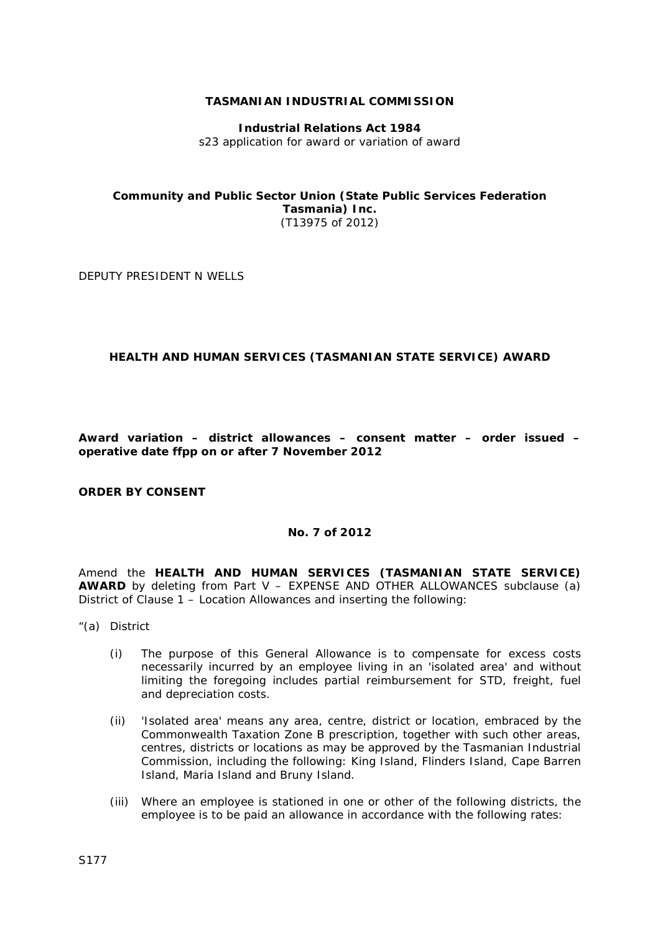### **TASMANIAN INDUSTRIAL COMMISSION**

**Industrial Relations Act 1984** s23 application for award or variation of award

### **Community and Public Sector Union (State Public Services Federation Tasmania) Inc.** (T13975 of 2012)

DEPUTY PRESIDENT N WELLS

## **HEALTH AND HUMAN SERVICES (TASMANIAN STATE SERVICE) AWARD**

**Award variation – district allowances – consent matter – order issued – operative date ffpp on or after 7 November 2012**

#### **ORDER BY CONSENT**

## **No. 7 of 2012**

Amend the **HEALTH AND HUMAN SERVICES (TASMANIAN STATE SERVICE) AWARD** by deleting from Part V – EXPENSE AND OTHER ALLOWANCES subclause (a) District of Clause 1 – Location Allowances and inserting the following:

- "(a) District
	- (i) The purpose of this General Allowance is to compensate for excess costs necessarily incurred by an employee living in an 'isolated area' and without limiting the foregoing includes partial reimbursement for STD, freight, fuel and depreciation costs.
	- (ii) 'Isolated area' means any area, centre, district or location, embraced by the Commonwealth Taxation Zone B prescription, together with such other areas, centres, districts or locations as may be approved by the Tasmanian Industrial Commission, including the following: King Island, Flinders Island, Cape Barren Island, Maria Island and Bruny Island.
	- (iii) Where an employee is stationed in one or other of the following districts, the employee is to be paid an allowance in accordance with the following rates: